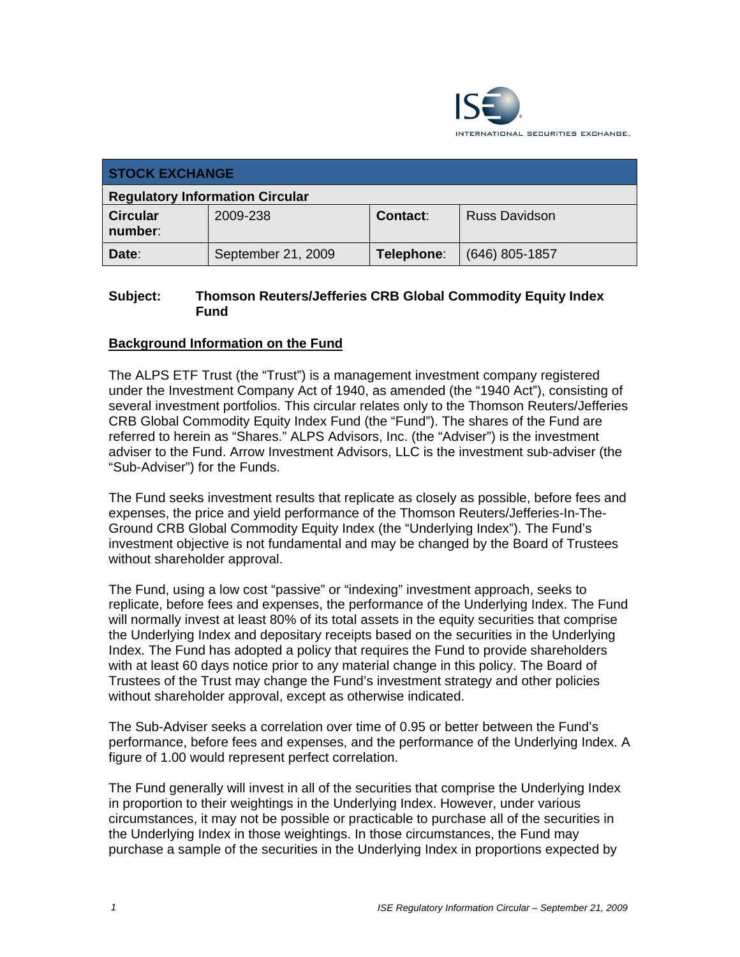

| <b>STOCK EXCHANGE</b>                  |                    |            |                      |  |  |
|----------------------------------------|--------------------|------------|----------------------|--|--|
| <b>Regulatory Information Circular</b> |                    |            |                      |  |  |
| <b>Circular</b><br>number:             | 2009-238           | Contact:   | <b>Russ Davidson</b> |  |  |
| Date:                                  | September 21, 2009 | Telephone: | $(646)$ 805-1857     |  |  |

### **Subject: Thomson Reuters/Jefferies CRB Global Commodity Equity Index Fund**

# **Background Information on the Fund**

The ALPS ETF Trust (the "Trust") is a management investment company registered under the Investment Company Act of 1940, as amended (the "1940 Act"), consisting of several investment portfolios. This circular relates only to the Thomson Reuters/Jefferies CRB Global Commodity Equity Index Fund (the "Fund"). The shares of the Fund are referred to herein as "Shares." ALPS Advisors, Inc. (the "Adviser") is the investment adviser to the Fund. Arrow Investment Advisors, LLC is the investment sub-adviser (the "Sub-Adviser") for the Funds.

The Fund seeks investment results that replicate as closely as possible, before fees and expenses, the price and yield performance of the Thomson Reuters/Jefferies-In-The-Ground CRB Global Commodity Equity Index (the "Underlying Index"). The Fund's investment objective is not fundamental and may be changed by the Board of Trustees without shareholder approval.

The Fund, using a low cost "passive" or "indexing" investment approach, seeks to replicate, before fees and expenses, the performance of the Underlying Index. The Fund will normally invest at least 80% of its total assets in the equity securities that comprise the Underlying Index and depositary receipts based on the securities in the Underlying Index. The Fund has adopted a policy that requires the Fund to provide shareholders with at least 60 days notice prior to any material change in this policy. The Board of Trustees of the Trust may change the Fund's investment strategy and other policies without shareholder approval, except as otherwise indicated.

The Sub-Adviser seeks a correlation over time of 0.95 or better between the Fund's performance, before fees and expenses, and the performance of the Underlying Index. A figure of 1.00 would represent perfect correlation.

The Fund generally will invest in all of the securities that comprise the Underlying Index in proportion to their weightings in the Underlying Index. However, under various circumstances, it may not be possible or practicable to purchase all of the securities in the Underlying Index in those weightings. In those circumstances, the Fund may purchase a sample of the securities in the Underlying Index in proportions expected by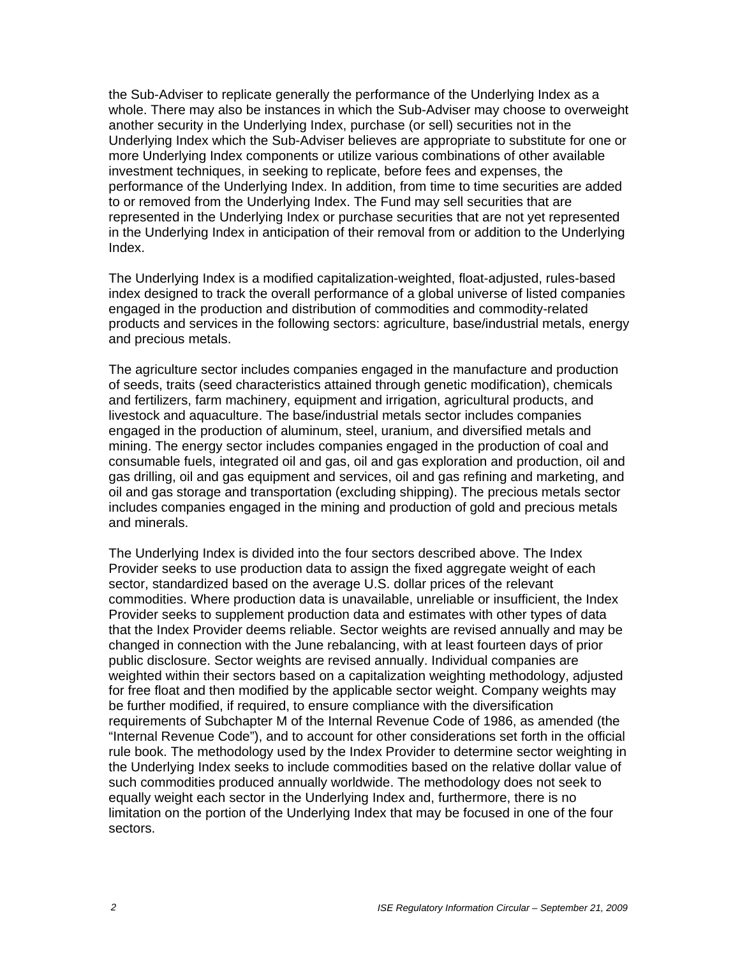the Sub-Adviser to replicate generally the performance of the Underlying Index as a whole. There may also be instances in which the Sub-Adviser may choose to overweight another security in the Underlying Index, purchase (or sell) securities not in the Underlying Index which the Sub-Adviser believes are appropriate to substitute for one or more Underlying Index components or utilize various combinations of other available investment techniques, in seeking to replicate, before fees and expenses, the performance of the Underlying Index. In addition, from time to time securities are added to or removed from the Underlying Index. The Fund may sell securities that are represented in the Underlying Index or purchase securities that are not yet represented in the Underlying Index in anticipation of their removal from or addition to the Underlying Index.

The Underlying Index is a modified capitalization-weighted, float-adjusted, rules-based index designed to track the overall performance of a global universe of listed companies engaged in the production and distribution of commodities and commodity-related products and services in the following sectors: agriculture, base/industrial metals, energy and precious metals.

The agriculture sector includes companies engaged in the manufacture and production of seeds, traits (seed characteristics attained through genetic modification), chemicals and fertilizers, farm machinery, equipment and irrigation, agricultural products, and livestock and aquaculture. The base/industrial metals sector includes companies engaged in the production of aluminum, steel, uranium, and diversified metals and mining. The energy sector includes companies engaged in the production of coal and consumable fuels, integrated oil and gas, oil and gas exploration and production, oil and gas drilling, oil and gas equipment and services, oil and gas refining and marketing, and oil and gas storage and transportation (excluding shipping). The precious metals sector includes companies engaged in the mining and production of gold and precious metals and minerals.

The Underlying Index is divided into the four sectors described above. The Index Provider seeks to use production data to assign the fixed aggregate weight of each sector, standardized based on the average U.S. dollar prices of the relevant commodities. Where production data is unavailable, unreliable or insufficient, the Index Provider seeks to supplement production data and estimates with other types of data that the Index Provider deems reliable. Sector weights are revised annually and may be changed in connection with the June rebalancing, with at least fourteen days of prior public disclosure. Sector weights are revised annually. Individual companies are weighted within their sectors based on a capitalization weighting methodology, adjusted for free float and then modified by the applicable sector weight. Company weights may be further modified, if required, to ensure compliance with the diversification requirements of Subchapter M of the Internal Revenue Code of 1986, as amended (the "Internal Revenue Code"), and to account for other considerations set forth in the official rule book. The methodology used by the Index Provider to determine sector weighting in the Underlying Index seeks to include commodities based on the relative dollar value of such commodities produced annually worldwide. The methodology does not seek to equally weight each sector in the Underlying Index and, furthermore, there is no limitation on the portion of the Underlying Index that may be focused in one of the four sectors.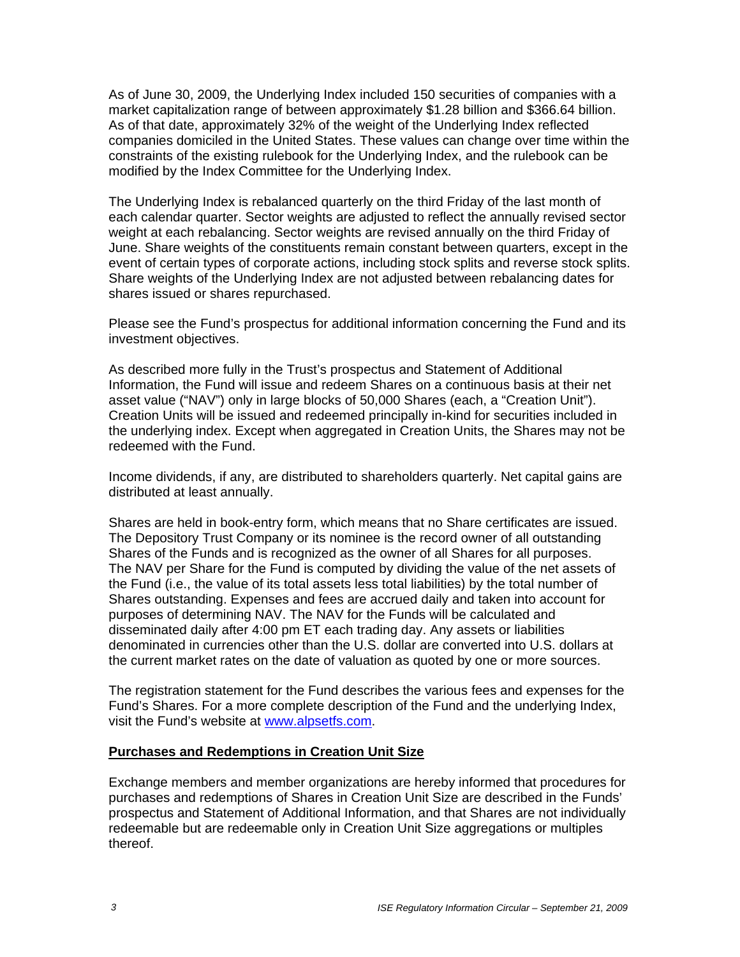As of June 30, 2009, the Underlying Index included 150 securities of companies with a market capitalization range of between approximately \$1.28 billion and \$366.64 billion. As of that date, approximately 32% of the weight of the Underlying Index reflected companies domiciled in the United States. These values can change over time within the constraints of the existing rulebook for the Underlying Index, and the rulebook can be modified by the Index Committee for the Underlying Index.

The Underlying Index is rebalanced quarterly on the third Friday of the last month of each calendar quarter. Sector weights are adjusted to reflect the annually revised sector weight at each rebalancing. Sector weights are revised annually on the third Friday of June. Share weights of the constituents remain constant between quarters, except in the event of certain types of corporate actions, including stock splits and reverse stock splits. Share weights of the Underlying Index are not adjusted between rebalancing dates for shares issued or shares repurchased.

Please see the Fund's prospectus for additional information concerning the Fund and its investment objectives.

As described more fully in the Trust's prospectus and Statement of Additional Information, the Fund will issue and redeem Shares on a continuous basis at their net asset value ("NAV") only in large blocks of 50,000 Shares (each, a "Creation Unit"). Creation Units will be issued and redeemed principally in-kind for securities included in the underlying index. Except when aggregated in Creation Units, the Shares may not be redeemed with the Fund.

Income dividends, if any, are distributed to shareholders quarterly. Net capital gains are distributed at least annually.

Shares are held in book-entry form, which means that no Share certificates are issued. The Depository Trust Company or its nominee is the record owner of all outstanding Shares of the Funds and is recognized as the owner of all Shares for all purposes. The NAV per Share for the Fund is computed by dividing the value of the net assets of the Fund (i.e., the value of its total assets less total liabilities) by the total number of Shares outstanding. Expenses and fees are accrued daily and taken into account for purposes of determining NAV. The NAV for the Funds will be calculated and disseminated daily after 4:00 pm ET each trading day. Any assets or liabilities denominated in currencies other than the U.S. dollar are converted into U.S. dollars at the current market rates on the date of valuation as quoted by one or more sources.

The registration statement for the Fund describes the various fees and expenses for the Fund's Shares. For a more complete description of the Fund and the underlying Index, visit the Fund's website at www.alpsetfs.com.

#### **Purchases and Redemptions in Creation Unit Size**

Exchange members and member organizations are hereby informed that procedures for purchases and redemptions of Shares in Creation Unit Size are described in the Funds' prospectus and Statement of Additional Information, and that Shares are not individually redeemable but are redeemable only in Creation Unit Size aggregations or multiples thereof.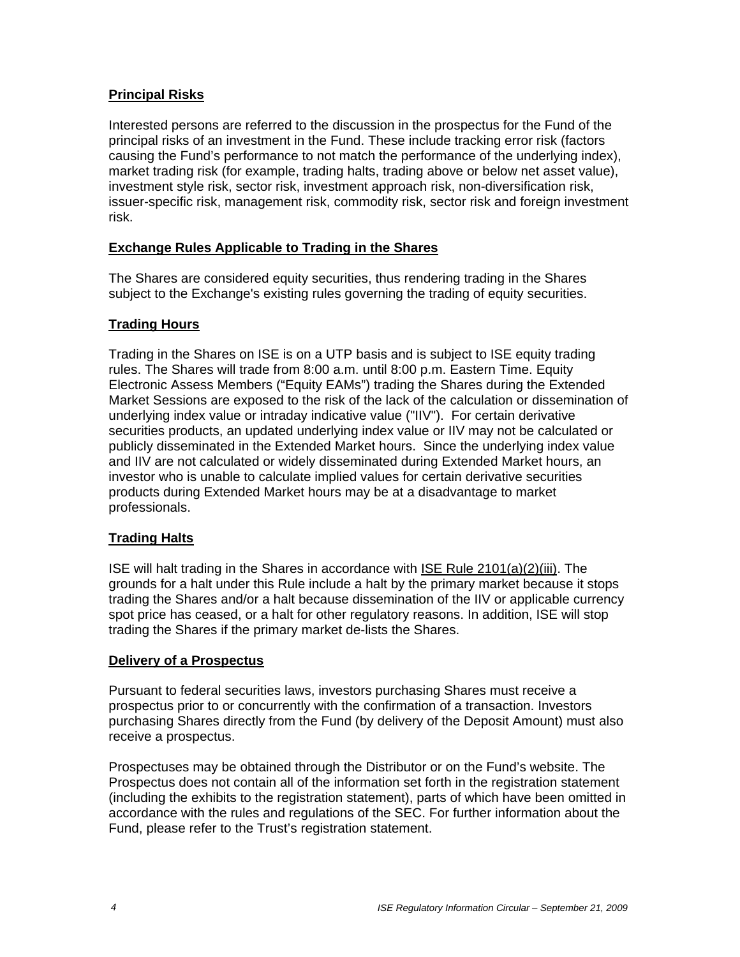# **Principal Risks**

Interested persons are referred to the discussion in the prospectus for the Fund of the principal risks of an investment in the Fund. These include tracking error risk (factors causing the Fund's performance to not match the performance of the underlying index), market trading risk (for example, trading halts, trading above or below net asset value), investment style risk, sector risk, investment approach risk, non-diversification risk, issuer-specific risk, management risk, commodity risk, sector risk and foreign investment risk.

#### **Exchange Rules Applicable to Trading in the Shares**

The Shares are considered equity securities, thus rendering trading in the Shares subject to the Exchange's existing rules governing the trading of equity securities.

#### **Trading Hours**

Trading in the Shares on ISE is on a UTP basis and is subject to ISE equity trading rules. The Shares will trade from 8:00 a.m. until 8:00 p.m. Eastern Time. Equity Electronic Assess Members ("Equity EAMs") trading the Shares during the Extended Market Sessions are exposed to the risk of the lack of the calculation or dissemination of underlying index value or intraday indicative value ("IIV"). For certain derivative securities products, an updated underlying index value or IIV may not be calculated or publicly disseminated in the Extended Market hours. Since the underlying index value and IIV are not calculated or widely disseminated during Extended Market hours, an investor who is unable to calculate implied values for certain derivative securities products during Extended Market hours may be at a disadvantage to market professionals.

#### **Trading Halts**

ISE will halt trading in the Shares in accordance with ISE Rule 2101(a)(2)(iii). The grounds for a halt under this Rule include a halt by the primary market because it stops trading the Shares and/or a halt because dissemination of the IIV or applicable currency spot price has ceased, or a halt for other regulatory reasons. In addition, ISE will stop trading the Shares if the primary market de-lists the Shares.

#### **Delivery of a Prospectus**

Pursuant to federal securities laws, investors purchasing Shares must receive a prospectus prior to or concurrently with the confirmation of a transaction. Investors purchasing Shares directly from the Fund (by delivery of the Deposit Amount) must also receive a prospectus.

Prospectuses may be obtained through the Distributor or on the Fund's website. The Prospectus does not contain all of the information set forth in the registration statement (including the exhibits to the registration statement), parts of which have been omitted in accordance with the rules and regulations of the SEC. For further information about the Fund, please refer to the Trust's registration statement.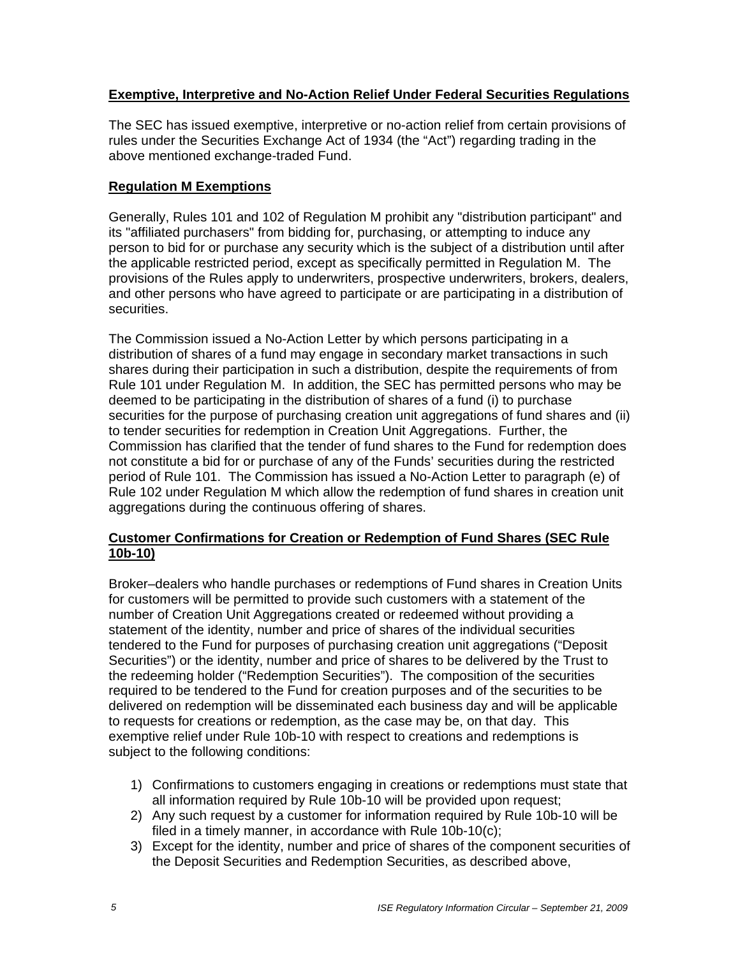# **Exemptive, Interpretive and No-Action Relief Under Federal Securities Regulations**

The SEC has issued exemptive, interpretive or no-action relief from certain provisions of rules under the Securities Exchange Act of 1934 (the "Act") regarding trading in the above mentioned exchange-traded Fund.

# **Regulation M Exemptions**

Generally, Rules 101 and 102 of Regulation M prohibit any "distribution participant" and its "affiliated purchasers" from bidding for, purchasing, or attempting to induce any person to bid for or purchase any security which is the subject of a distribution until after the applicable restricted period, except as specifically permitted in Regulation M. The provisions of the Rules apply to underwriters, prospective underwriters, brokers, dealers, and other persons who have agreed to participate or are participating in a distribution of securities.

The Commission issued a No-Action Letter by which persons participating in a distribution of shares of a fund may engage in secondary market transactions in such shares during their participation in such a distribution, despite the requirements of from Rule 101 under Regulation M. In addition, the SEC has permitted persons who may be deemed to be participating in the distribution of shares of a fund (i) to purchase securities for the purpose of purchasing creation unit aggregations of fund shares and (ii) to tender securities for redemption in Creation Unit Aggregations. Further, the Commission has clarified that the tender of fund shares to the Fund for redemption does not constitute a bid for or purchase of any of the Funds' securities during the restricted period of Rule 101. The Commission has issued a No-Action Letter to paragraph (e) of Rule 102 under Regulation M which allow the redemption of fund shares in creation unit aggregations during the continuous offering of shares.

# **Customer Confirmations for Creation or Redemption of Fund Shares (SEC Rule 10b-10)**

Broker–dealers who handle purchases or redemptions of Fund shares in Creation Units for customers will be permitted to provide such customers with a statement of the number of Creation Unit Aggregations created or redeemed without providing a statement of the identity, number and price of shares of the individual securities tendered to the Fund for purposes of purchasing creation unit aggregations ("Deposit Securities") or the identity, number and price of shares to be delivered by the Trust to the redeeming holder ("Redemption Securities"). The composition of the securities required to be tendered to the Fund for creation purposes and of the securities to be delivered on redemption will be disseminated each business day and will be applicable to requests for creations or redemption, as the case may be, on that day. This exemptive relief under Rule 10b-10 with respect to creations and redemptions is subject to the following conditions:

- 1) Confirmations to customers engaging in creations or redemptions must state that all information required by Rule 10b-10 will be provided upon request;
- 2) Any such request by a customer for information required by Rule 10b-10 will be filed in a timely manner, in accordance with Rule 10b-10(c);
- 3) Except for the identity, number and price of shares of the component securities of the Deposit Securities and Redemption Securities, as described above,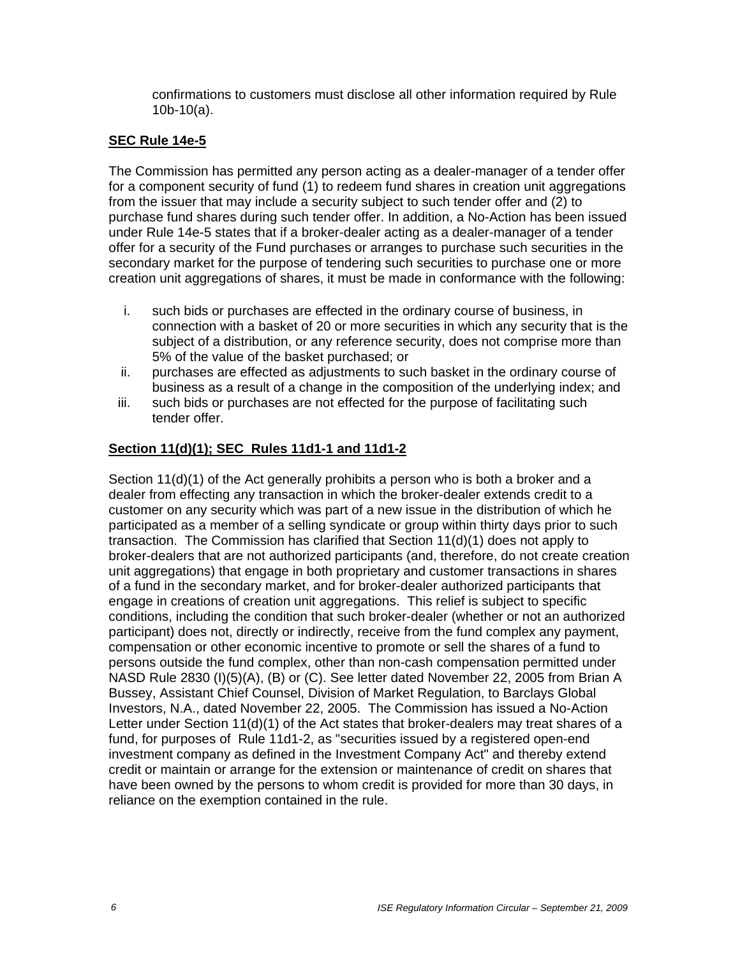confirmations to customers must disclose all other information required by Rule 10b-10(a).

### **SEC Rule 14e-5**

The Commission has permitted any person acting as a dealer-manager of a tender offer for a component security of fund (1) to redeem fund shares in creation unit aggregations from the issuer that may include a security subject to such tender offer and (2) to purchase fund shares during such tender offer. In addition, a No-Action has been issued under Rule 14e-5 states that if a broker-dealer acting as a dealer-manager of a tender offer for a security of the Fund purchases or arranges to purchase such securities in the secondary market for the purpose of tendering such securities to purchase one or more creation unit aggregations of shares, it must be made in conformance with the following:

- i. such bids or purchases are effected in the ordinary course of business, in connection with a basket of 20 or more securities in which any security that is the subject of a distribution, or any reference security, does not comprise more than 5% of the value of the basket purchased; or
- ii. purchases are effected as adjustments to such basket in the ordinary course of business as a result of a change in the composition of the underlying index; and
- iii. such bids or purchases are not effected for the purpose of facilitating such tender offer.

# **Section 11(d)(1); SEC Rules 11d1-1 and 11d1-2**

Section 11(d)(1) of the Act generally prohibits a person who is both a broker and a dealer from effecting any transaction in which the broker-dealer extends credit to a customer on any security which was part of a new issue in the distribution of which he participated as a member of a selling syndicate or group within thirty days prior to such transaction. The Commission has clarified that Section 11(d)(1) does not apply to broker-dealers that are not authorized participants (and, therefore, do not create creation unit aggregations) that engage in both proprietary and customer transactions in shares of a fund in the secondary market, and for broker-dealer authorized participants that engage in creations of creation unit aggregations. This relief is subject to specific conditions, including the condition that such broker-dealer (whether or not an authorized participant) does not, directly or indirectly, receive from the fund complex any payment, compensation or other economic incentive to promote or sell the shares of a fund to persons outside the fund complex, other than non-cash compensation permitted under NASD Rule 2830 (I)(5)(A), (B) or (C). See letter dated November 22, 2005 from Brian A Bussey, Assistant Chief Counsel, Division of Market Regulation, to Barclays Global Investors, N.A., dated November 22, 2005. The Commission has issued a No-Action Letter under Section 11(d)(1) of the Act states that broker-dealers may treat shares of a fund, for purposes of Rule 11d1-2, as "securities issued by a registered open-end investment company as defined in the Investment Company Act" and thereby extend credit or maintain or arrange for the extension or maintenance of credit on shares that have been owned by the persons to whom credit is provided for more than 30 days, in reliance on the exemption contained in the rule.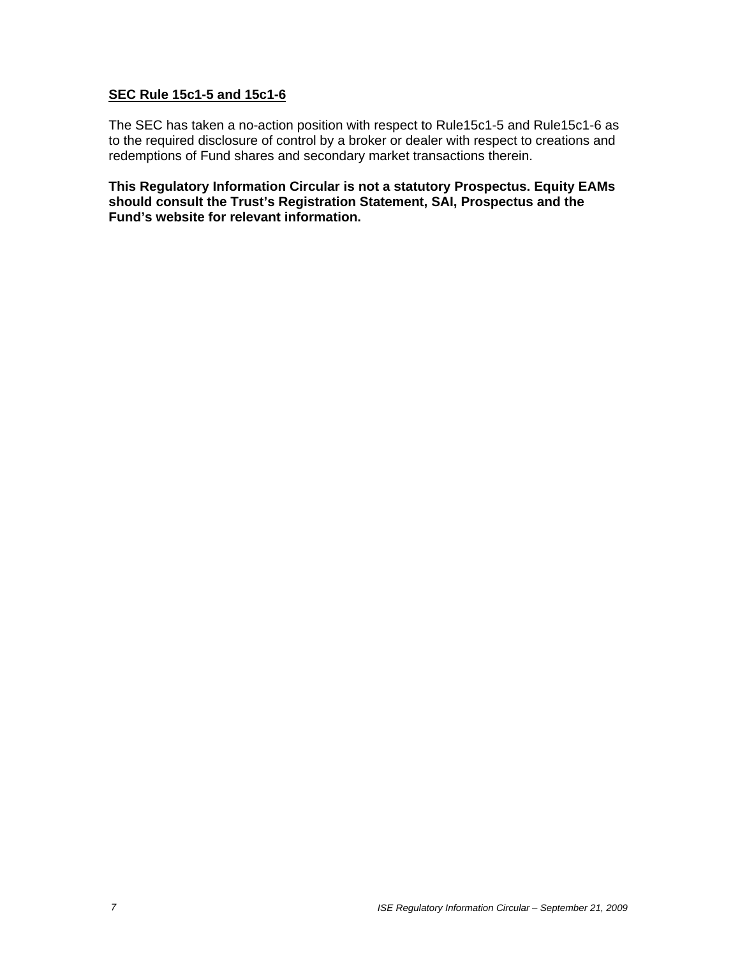#### **SEC Rule 15c1-5 and 15c1-6**

The SEC has taken a no-action position with respect to Rule15c1-5 and Rule15c1-6 as to the required disclosure of control by a broker or dealer with respect to creations and redemptions of Fund shares and secondary market transactions therein.

**This Regulatory Information Circular is not a statutory Prospectus. Equity EAMs should consult the Trust's Registration Statement, SAI, Prospectus and the Fund's website for relevant information.**